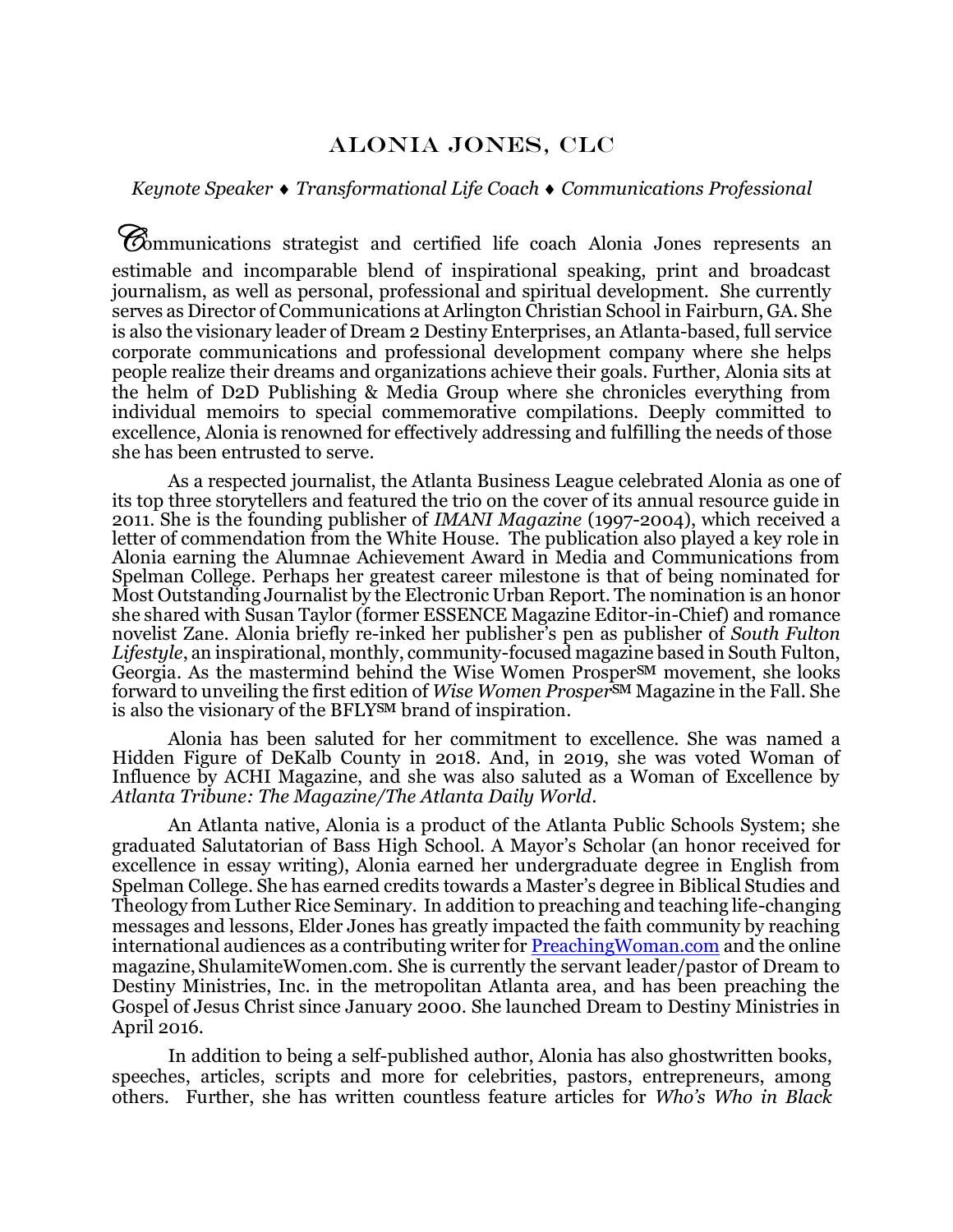## Alonia jones, CLC

## *Keynote Speaker Transformational Life Coach Communications Professional*

Communications strategist and certified life coach Alonia Jones represents an estimable and incomparable blend of inspirational speaking, print and broadcast journalism, as well as personal, professional and spiritual development. She currently serves as Director of Communications at Arlington Christian School in Fairburn, GA. She is also the visionary leader of Dream 2 Destiny Enterprises, an Atlanta-based, full service corporate communications and professional development company where she helps people realize their dreams and organizations achieve their goals. Further, Alonia sits at the helm of D2D Publishing & Media Group where she chronicles everything from individual memoirs to special commemorative compilations. Deeply committed to excellence, Alonia is renowned for effectively addressing and fulfilling the needs of those she has been entrusted to serve.

As a respected journalist, the Atlanta Business League celebrated Alonia as one of its top three storytellers and featured the trio on the cover of its annual resource guide in 2011. She is the founding publisher of *IMANI Magazine* (1997-2004), which received a letter of commendation from the White House. The publication also played a key role in Alonia earning the Alumnae Achievement Award in Media and Communications from Spelman College. Perhaps her greatest career milestone is that of being nominated for Most Outstanding Journalist by the Electronic Urban Report. The nomination is an honor she shared with Susan Taylor (former ESSENCE Magazine Editor-in-Chief) and romance novelist Zane. Alonia briefly re-inked her publisher's pen as publisher of *South Fulton Lifestyle*, an inspirational, monthly, community-focused magazine based in South Fulton, Georgia. As the mastermind behind the Wise Women Prosper<sup>SM</sup> movement, she looks forward to unveiling the first edition of *Wise Women Prosper*℠ Magazine in the Fall. She is also the visionary of the BFLY<sup>SM</sup> brand of inspiration.

Alonia has been saluted for her commitment to excellence. She was named a Hidden Figure of DeKalb County in 2018. And, in 2019, she was voted Woman of Influence by ACHI Magazine, and she was also saluted as a Woman of Excellence by *Atlanta Tribune: The Magazine/The Atlanta Daily World*.

An Atlanta native, Alonia is a product of the Atlanta Public Schools System; she graduated Salutatorian of Bass High School. A Mayor's Scholar (an honor received for excellence in essay writing), Alonia earned her undergraduate degree in English from Spelman College. She has earned credits towards a Master's degree in Biblical Studies and Theology from Luther Rice Seminary. In addition to preaching and teaching life-changing messages and lessons, Elder Jones has greatly impacted the faith community by reaching international audiences as a contributing writer for **PreachingWoman.com** and the online magazine, [ShulamiteWomen.com.](http://www.shulamitewomen.com/) She is currently the servant leader/pastor of Dream to Destiny Ministries, Inc. in the metropolitan Atlanta area, and has been preaching the Gospel of Jesus Christ since January 2000. She launched Dream to Destiny Ministries in April 2016.

In addition to being a self-published author, Alonia has also ghostwritten books, speeches, articles, scripts and more for celebrities, pastors, entrepreneurs, among others. Further, she has written countless feature articles for *Who's Who in Black*